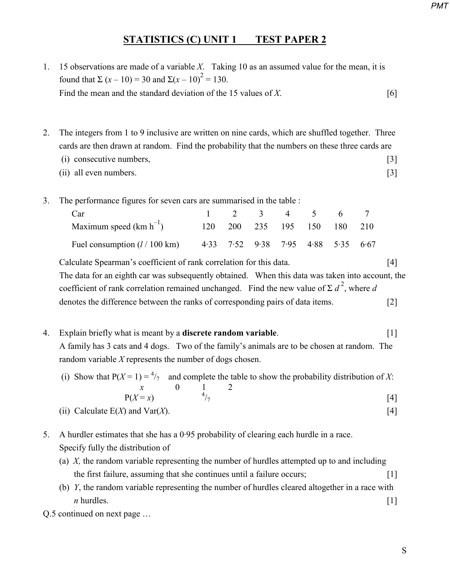## *PMT*

## **STATISTICS (C) UNIT 1 TEST PAPER 2**

- 1. 15 observations are made of a variable *X*. Taking 10 as an assumed value for the mean, it is found that  $\Sigma (x - 10) = 30$  and  $\Sigma (x - 10)^2 = 130$ . Find the mean and the standard deviation of the 15 values of *X*.
- 2. The integers from 1 to 9 inclusive are written on nine cards, which are shuffled together. Three cards are then drawn at random. Find the probability that the numbers on these three cards are
	- (i) consecutive numbers, [3] (ii) all even numbers. [3]
- 3. The performance figures for seven cars are summarised in the table :

| Car                                     | 2 3 4 5 |  |                                    | - 6 - |  |
|-----------------------------------------|---------|--|------------------------------------|-------|--|
| Maximum speed $(km h^{-1})$             |         |  | 120 200 235 195 150 180 210        |       |  |
| Fuel consumption $(l / 100 \text{ km})$ |         |  | 4.33 7.52 9.38 7.95 4.88 5.35 6.67 |       |  |

 Calculate Spearman's coefficient of rank correlation for this data. [4] The data for an eighth car was subsequently obtained. When this data was taken into account, the coefficient of rank correlation remained unchanged. Find the new value of  $\sum d^2$ , where *d* denotes the difference between the ranks of corresponding pairs of data items. [2]

4. Explain briefly what is meant by a **discrete random variable**. [1] A family has 3 cats and 4 dogs. Two of the family's animals are to be chosen at random. The random variable *X* represents the number of dogs chosen.

(i) Show that  $P(X=1) = \frac{4}{7}$  and complete the table to show the probability distribution of X:  $x \qquad 0 \qquad 1$  $P(X=x)$  4

$$
P(X=x) \tag{4}
$$

- (ii) Calculate  $E(X)$  and  $Var(X)$ . [4]
- 5. A hurdler estimates that she has a 0·95 probability of clearing each hurdle in a race. Specify fully the distribution of
	- (a) *X,* the random variable representing the number of hurdles attempted up to and including the first failure, assuming that she continues until a failure occurs; [1]
- (b) *Y*, the random variable representing the number of hurdles cleared altogether in a race with  $n$  hurdles.  $[1]$
- Q.5 continued on next page …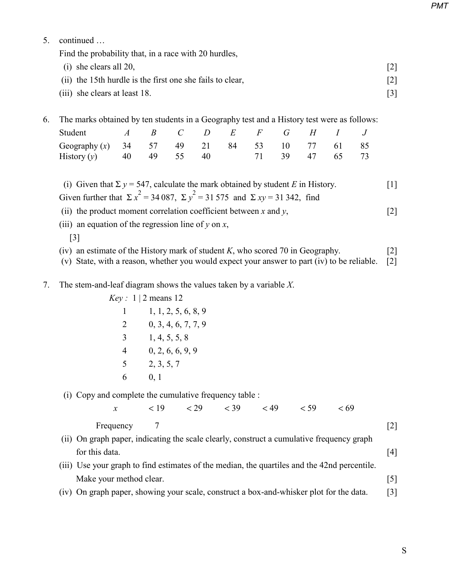*PMT*

5. continued …

Find the probability that, in a race with 20 hurdles,

| $(i)$ she clears all 20,                                  |                   |
|-----------------------------------------------------------|-------------------|
| (ii) the 15th hurdle is the first one she fails to clear, | $\lceil 2 \rceil$ |
| (iii) she clears at least 18.                             |                   |

## 6. The marks obtained by ten students in a Geography test and a History test were as follows:

| Student A B C D E F G H I J                                     |  |  |  |  |  |
|-----------------------------------------------------------------|--|--|--|--|--|
| Geography (x) $34$ $57$ $49$ $21$ $84$ $53$ $10$ $77$ $61$ $85$ |  |  |  |  |  |
| History (y) 40 49 55 40 71 39 47 65 73                          |  |  |  |  |  |

(i) Given that  $\Sigma y = 547$ , calculate the mark obtained by student *E* in History. [1] Given further that  $\Sigma x^2 = 34087$ ,  $\Sigma y^2 = 31575$  and  $\Sigma xy = 31342$ , find

(ii) the product moment correlation coefficient between  $x$  and  $y$ , [2]

- (iii) an equation of the regression line of  $\gamma$  on  $x$ ,
	- [3]
- (iv) an estimate of the History mark of student *K*, who scored 70 in Geography. [2]

(v) State, with a reason, whether you would expect your answer to part (iv) to be reliable. [2]

7. The stem-and-leaf diagram shows the values taken by a variable *X*.

|   | Key: 1   2 means 12 |
|---|---------------------|
| 1 | 1, 1, 2, 5, 6, 8, 9 |
| 2 | 0, 3, 4, 6, 7, 7, 9 |
| 3 | 1, 4, 5, 5, 8       |
|   | 0, 2, 6, 6, 9, 9    |
| 5 | 2, 3, 5, 7          |
|   | 0, 1                |

(i) Copy and complete the cumulative frequency table :

*x*  $< 19$   $< 29$   $< 39$   $< 49$   $< 59$   $< 69$ 

Frequency 7 [2]

- (ii) On graph paper, indicating the scale clearly, construct a cumulative frequency graph for this data.  $[4]$
- (iii) Use your graph to find estimates of the median, the quartiles and the 42nd percentile. Make your method clear. [5]
- (iv) On graph paper, showing your scale, construct a box-and-whisker plot for the data. [3]